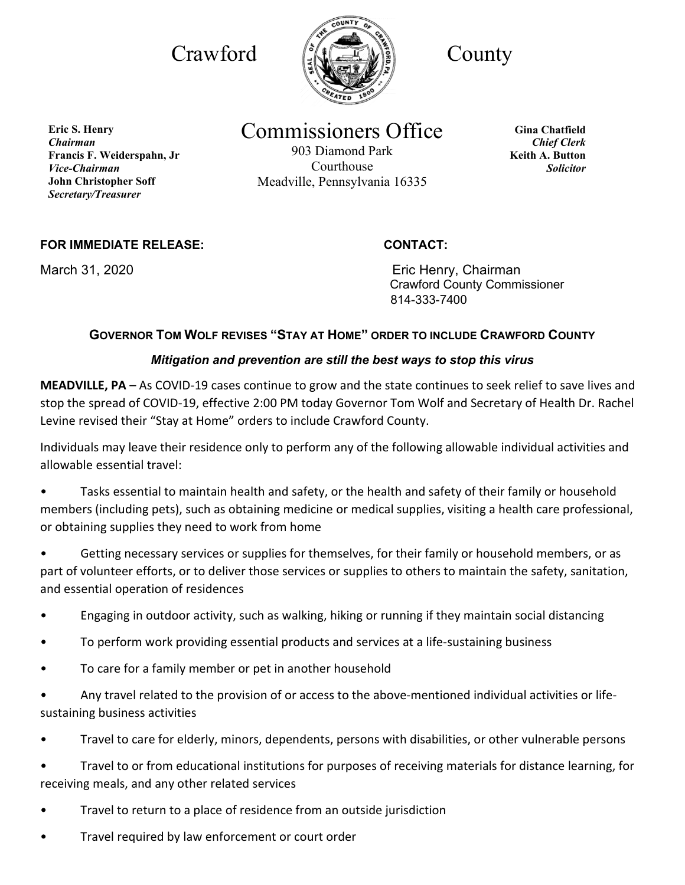

Commissioners Office

903 Diamond Park Courthouse Meadville, Pennsylvania 16335

**Gina Chatfield** *Chief Clerk* **Keith A. Button** *Solicitor*

**FOR IMMEDIATE RELEASE: CONTACT:**

March 31, 2020 **Example 2018** Eric Henry, Chairman Crawford County Commissioner 814-333-7400

## **GOVERNOR TOM WOLF REVISES "STAY AT HOME" ORDER TO INCLUDE CRAWFORD COUNTY**

## *Mitigation and prevention are still the best ways to stop this virus*

**MEADVILLE, PA** – As COVID-19 cases continue to grow and the state continues to seek relief to save lives and stop the spread of COVID-19, effective 2:00 PM today Governor Tom Wolf and Secretary of Health Dr. Rachel Levine revised their "Stay at Home" orders to include Crawford County.

Individuals may leave their residence only to perform any of the following allowable individual activities and allowable essential travel:

• Tasks essential to maintain health and safety, or the health and safety of their family or household members (including pets), such as obtaining medicine or medical supplies, visiting a health care professional, or obtaining supplies they need to work from home

Getting necessary services or supplies for themselves, for their family or household members, or as part of volunteer efforts, or to deliver those services or supplies to others to maintain the safety, sanitation, and essential operation of residences

- Engaging in outdoor activity, such as walking, hiking or running if they maintain social distancing
- To perform work providing essential products and services at a life-sustaining business
- To care for a family member or pet in another household

• Any travel related to the provision of or access to the above-mentioned individual activities or lifesustaining business activities

• Travel to care for elderly, minors, dependents, persons with disabilities, or other vulnerable persons

• Travel to or from educational institutions for purposes of receiving materials for distance learning, for receiving meals, and any other related services

- Travel to return to a place of residence from an outside jurisdiction
- Travel required by law enforcement or court order

**Eric S. Henry** *Chairman* **Francis F. Weiderspahn, Jr**  *Vice-Chairman* **John Christopher Soff** *Secretary/Treasurer*